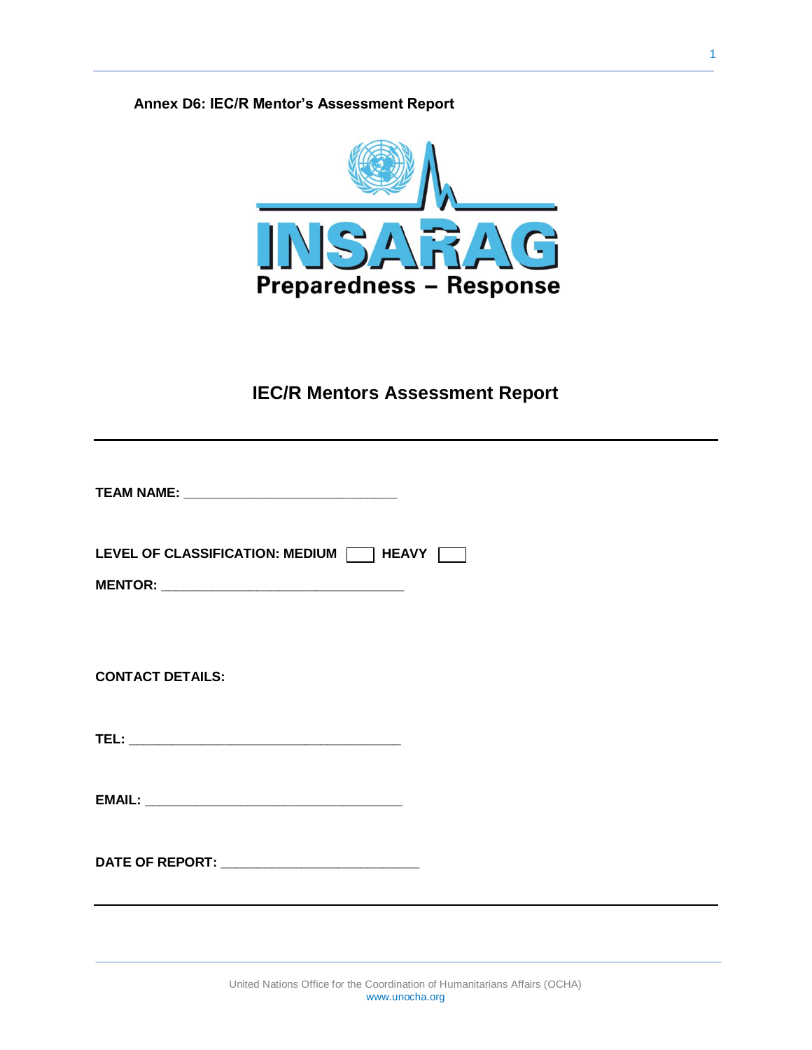# **Annex D6: IEC/R Mentor's Assessment Report**



# **IEC/R Mentors Assessment Report**

| LEVEL OF CLASSIFICATION: MEDIUM $\Box$ HEAVY $\Box$ |
|-----------------------------------------------------|
| <b>CONTACT DETAILS:</b>                             |
|                                                     |
|                                                     |
|                                                     |
|                                                     |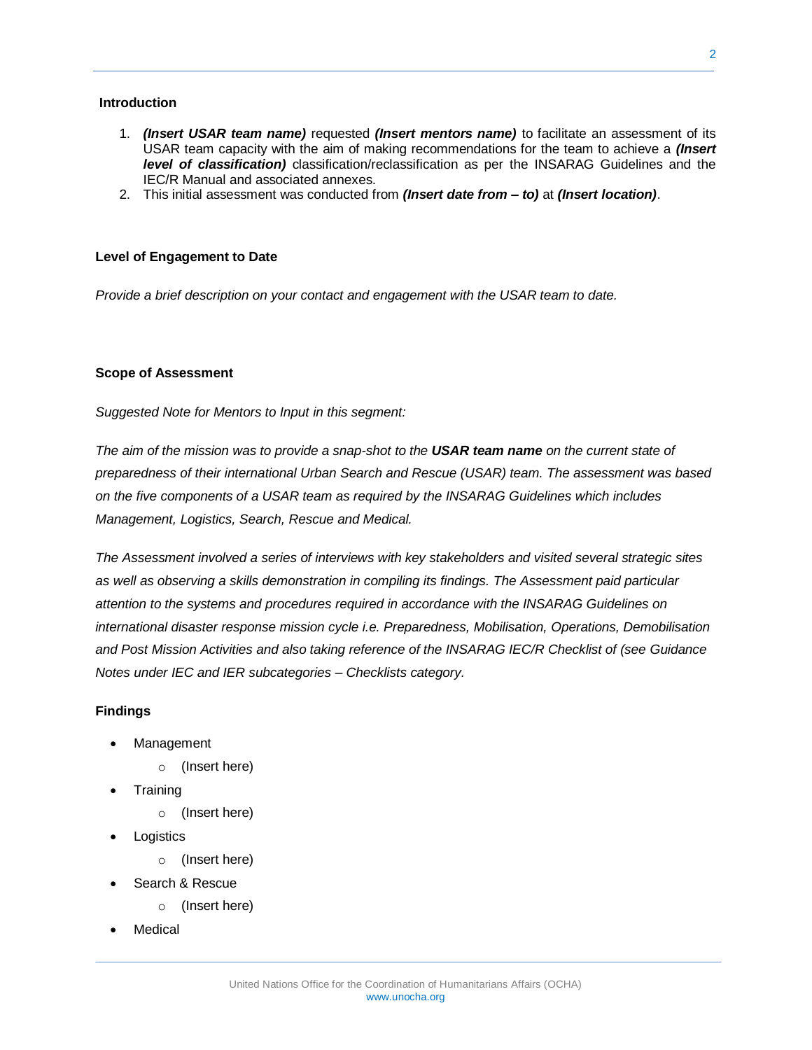#### **Introduction**

- 1. *(Insert USAR team name)* requested *(Insert mentors name)* to facilitate an assessment of its USAR team capacity with the aim of making recommendations for the team to achieve a *(Insert level of classification)* classification/reclassification as per the INSARAG Guidelines and the IEC/R Manual and associated annexes.
- 2. This initial assessment was conducted from *(Insert date from – to)* at *(Insert location)*.

#### **Level of Engagement to Date**

*Provide a brief description on your contact and engagement with the USAR team to date.*

#### **Scope of Assessment**

*Suggested Note for Mentors to Input in this segment:*

*The aim of the mission was to provide a snap-shot to the USAR team name on the current state of preparedness of their international Urban Search and Rescue (USAR) team. The assessment was based on the five components of a USAR team as required by the INSARAG Guidelines which includes Management, Logistics, Search, Rescue and Medical.*

*The Assessment involved a series of interviews with key stakeholders and visited several strategic sites as well as observing a skills demonstration in compiling its findings. The Assessment paid particular attention to the systems and procedures required in accordance with the INSARAG Guidelines on international disaster response mission cycle i.e. Preparedness, Mobilisation, Operations, Demobilisation and Post Mission Activities and also taking reference of the INSARAG IEC/R Checklist of (see Guidance Notes under IEC and IER subcategories – Checklists category.*

## **Findings**

- Management
	- o (Insert here)
- **Training** 
	- o (Insert here)
- **Logistics** 
	- o (Insert here)
- Search & Rescue
	- o (Insert here)
- Medical